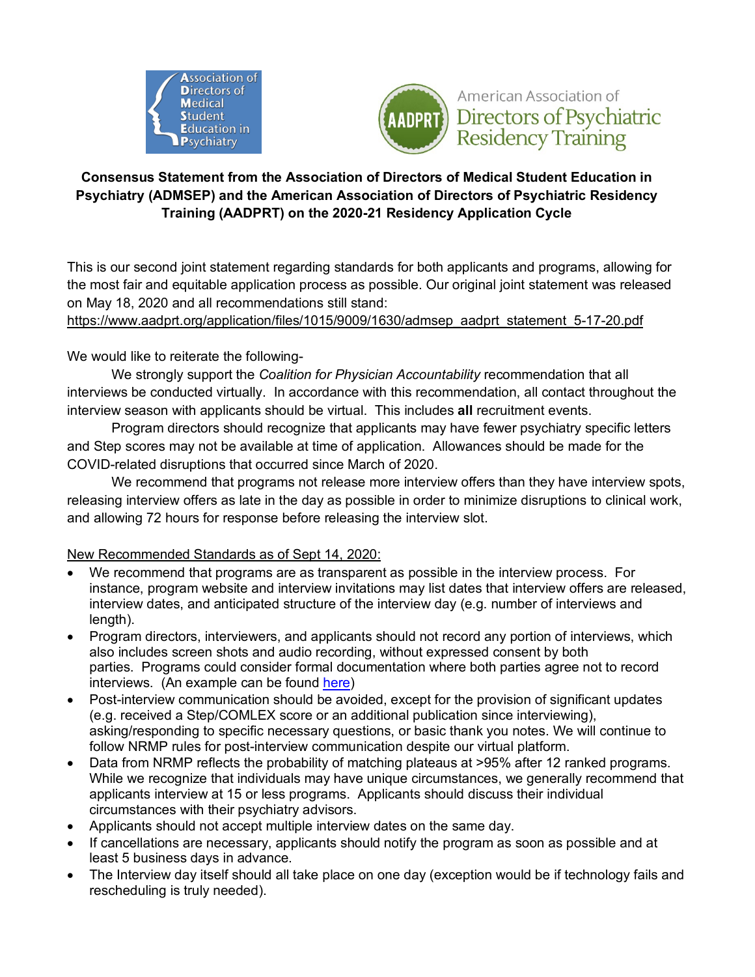



## **Consensus Statement from the Association of Directors of Medical Student Education in Psychiatry (ADMSEP) and the American Association of Directors of Psychiatric Residency Training (AADPRT) on the 2020-21 Residency Application Cycle**

This is our second joint statement regarding standards for both applicants and programs, allowing for the most fair and equitable application process as possible. Our original joint statement was released on May 18, 2020 and all recommendations still stand:

https://www.aadprt.org/application/files/1015/9009/1630/admsep\_aadprt\_statement\_5-17-20.pdf

We would like to reiterate the following-

We strongly support the *Coalition for Physician Accountability* recommendation that all interviews be conducted virtually. In accordance with this recommendation, all contact throughout the interview season with applicants should be virtual. This includes **all** recruitment events.

Program directors should recognize that applicants may have fewer psychiatry specific letters and Step scores may not be available at time of application. Allowances should be made for the COVID-related disruptions that occurred since March of 2020.

We recommend that programs not release more interview offers than they have interview spots, releasing interview offers as late in the day as possible in order to minimize disruptions to clinical work, and allowing 72 hours for response before releasing the interview slot.

## New Recommended Standards as of Sept 14, 2020:

- We recommend that programs are as transparent as possible in the interview process. For instance, program website and interview invitations may list dates that interview offers are released, interview dates, and anticipated structure of the interview day (e.g. number of interviews and length).
- Program directors, interviewers, and applicants should not record any portion of interviews, which also includes screen shots and audio recording, without expressed consent by both parties. Programs could consider formal documentation where both parties agree not to record interviews. (An example can be found [here](https://www.aadprt.org/application/files/2216/0017/7542/Recording_Agreement__with_disclaimer_9-14-20.docx))
- Post-interview communication should be avoided, except for the provision of significant updates (e.g. received a Step/COMLEX score or an additional publication since interviewing), asking/responding to specific necessary questions, or basic thank you notes. We will continue to follow NRMP rules for post-interview communication despite our virtual platform.
- Data from NRMP reflects the probability of matching plateaus at >95% after 12 ranked programs. While we recognize that individuals may have unique circumstances, we generally recommend that applicants interview at 15 or less programs. Applicants should discuss their individual circumstances with their psychiatry advisors.
- Applicants should not accept multiple interview dates on the same day.
- If cancellations are necessary, applicants should notify the program as soon as possible and at least 5 business days in advance.
- The Interview day itself should all take place on one day (exception would be if technology fails and rescheduling is truly needed).